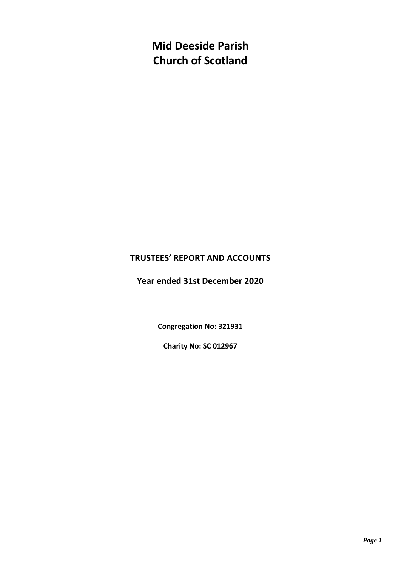**Mid Deeside Parish Church of Scotland**

## **TRUSTEES' REPORT AND ACCOUNTS**

**Year ended 31st December 2020**

**Congregation No: 321931**

**Charity No: SC 012967**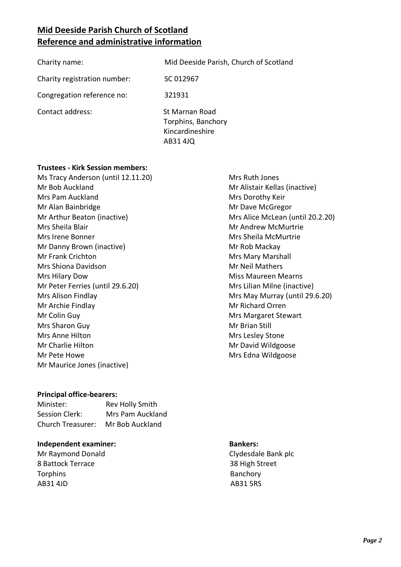# **Mid Deeside Parish Church of Scotland Reference and administrative information**

| Charity name:                | Mid Deeside Parish, Church of Scotland                              |
|------------------------------|---------------------------------------------------------------------|
| Charity registration number: | SC 012967                                                           |
| Congregation reference no:   | 321931                                                              |
| Contact address:             | St Marnan Road<br>Torphins, Banchory<br>Kincardineshire<br>AB31 4JQ |

#### **Trustees - Kirk Session members:**

Ms Tracy Anderson (until 12.11.20) Mr Bob Auckland Mrs Pam Auckland Mr Alan Bainbridge Mr Arthur Beaton (inactive) Mrs Sheila Blair Mrs Irene Bonner Mr Danny Brown (inactive) Mr Frank Crichton Mrs Shiona Davidson Mrs Hilary Dow Mr Peter Ferries (until 29.6.20) Mrs Alison Findlay Mr Archie Findlay Mr Colin Guy Mrs Sharon Guy Mrs Anne Hilton Mr Charlie Hilton Mr Pete Howe Mr Maurice Jones (inactive)

#### **Principal office-bearers:**

| Minister:                | Rev Holly Smith  |
|--------------------------|------------------|
| Session Clerk:           | Mrs Pam Auckland |
| <b>Church Treasurer:</b> | Mr Bob Auckland  |

#### **Independent examiner: Bankers:**

8 Battock Terrace 38 High Street Torphins **Banchory** AB31 4JD AB31 5RS

 Mrs Ruth Jones Mr Alistair Kellas (inactive) Mrs Dorothy Keir Mr Dave McGregor Mrs Alice McLean (until 20.2.20) Mr Andrew McMurtrie Mrs Sheila McMurtrie Mr Rob Mackay Mrs Mary Marshall Mr Neil Mathers Miss Maureen Mearns Mrs Lilian Milne (inactive) Mrs May Murray (until 29.6.20) Mr Richard Orren Mrs Margaret Stewart Mr Brian Still Mrs Lesley Stone Mr David Wildgoose Mrs Edna Wildgoose

Mr Raymond Donald Clydesdale Bank plc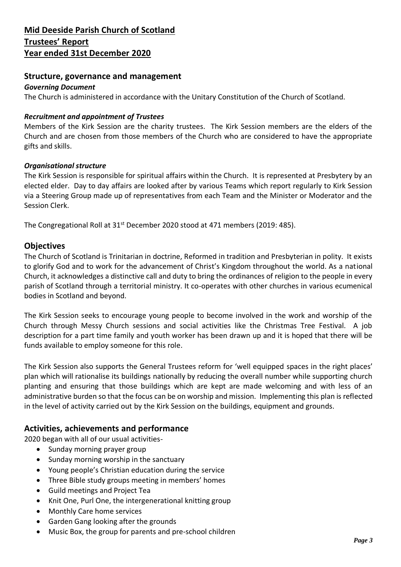## **Structure, governance and management**

#### *Governing Document*

The Church is administered in accordance with the Unitary Constitution of the Church of Scotland.

#### *Recruitment and appointment of Trustees*

Members of the Kirk Session are the charity trustees. The Kirk Session members are the elders of the Church and are chosen from those members of the Church who are considered to have the appropriate gifts and skills.

#### *Organisational structure*

The Kirk Session is responsible for spiritual affairs within the Church. It is represented at Presbytery by an elected elder. Day to day affairs are looked after by various Teams which report regularly to Kirk Session via a Steering Group made up of representatives from each Team and the Minister or Moderator and the Session Clerk.

The Congregational Roll at 31<sup>st</sup> December 2020 stood at 471 members (2019: 485).

## **Objectives**

The Church of Scotland is Trinitarian in doctrine, Reformed in tradition and Presbyterian in polity. It exists to glorify God and to work for the advancement of Christ's Kingdom throughout the world. As a national Church, it acknowledges a distinctive call and duty to bring the ordinances of religion to the people in every parish of Scotland through a territorial ministry. It co-operates with other churches in various ecumenical bodies in Scotland and beyond.

The Kirk Session seeks to encourage young people to become involved in the work and worship of the Church through Messy Church sessions and social activities like the Christmas Tree Festival. A job description for a part time family and youth worker has been drawn up and it is hoped that there will be funds available to employ someone for this role.

The Kirk Session also supports the General Trustees reform for 'well equipped spaces in the right places' plan which will rationalise its buildings nationally by reducing the overall number while supporting church planting and ensuring that those buildings which are kept are made welcoming and with less of an administrative burden so that the focus can be on worship and mission. Implementing this plan is reflected in the level of activity carried out by the Kirk Session on the buildings, equipment and grounds.

## **Activities, achievements and performance**

2020 began with all of our usual activities-

- Sunday morning prayer group
- Sunday morning worship in the sanctuary
- Young people's Christian education during the service
- Three Bible study groups meeting in members' homes
- Guild meetings and Project Tea
- Knit One, Purl One, the intergenerational knitting group
- Monthly Care home services
- Garden Gang looking after the grounds
- Music Box, the group for parents and pre-school children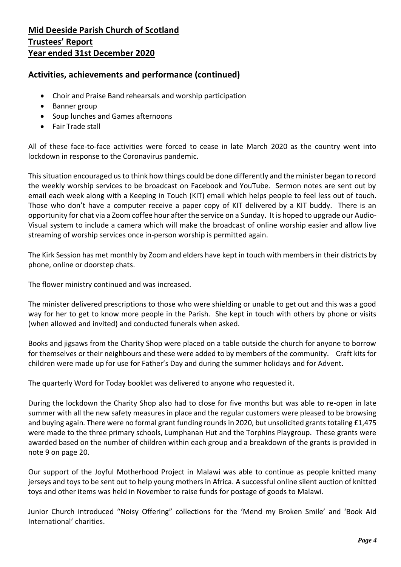## **Activities, achievements and performance (continued)**

- Choir and Praise Band rehearsals and worship participation
- Banner group
- Soup lunches and Games afternoons
- Fair Trade stall

All of these face-to-face activities were forced to cease in late March 2020 as the country went into lockdown in response to the Coronavirus pandemic.

This situation encouraged us to think how things could be done differently and the minister began to record the weekly worship services to be broadcast on Facebook and YouTube. Sermon notes are sent out by email each week along with a Keeping in Touch (KIT) email which helps people to feel less out of touch. Those who don't have a computer receive a paper copy of KIT delivered by a KIT buddy. There is an opportunity for chat via a Zoom coffee hour after the service on a Sunday. It is hoped to upgrade our Audio-Visual system to include a camera which will make the broadcast of online worship easier and allow live streaming of worship services once in-person worship is permitted again.

The Kirk Session has met monthly by Zoom and elders have kept in touch with members in their districts by phone, online or doorstep chats.

The flower ministry continued and was increased.

The minister delivered prescriptions to those who were shielding or unable to get out and this was a good way for her to get to know more people in the Parish. She kept in touch with others by phone or visits (when allowed and invited) and conducted funerals when asked.

Books and jigsaws from the Charity Shop were placed on a table outside the church for anyone to borrow for themselves or their neighbours and these were added to by members of the community. Craft kits for children were made up for use for Father's Day and during the summer holidays and for Advent.

The quarterly Word for Today booklet was delivered to anyone who requested it.

During the lockdown the Charity Shop also had to close for five months but was able to re-open in late summer with all the new safety measures in place and the regular customers were pleased to be browsing and buying again. There were no formal grant funding rounds in 2020, but unsolicited grants totaling £1,475 were made to the three primary schools, Lumphanan Hut and the Torphins Playgroup. These grants were awarded based on the number of children within each group and a breakdown of the grants is provided in note 9 on page 20.

Our support of the Joyful Motherhood Project in Malawi was able to continue as people knitted many jerseys and toys to be sent out to help young mothers in Africa. A successful online silent auction of knitted toys and other items was held in November to raise funds for postage of goods to Malawi.

Junior Church introduced "Noisy Offering" collections for the 'Mend my Broken Smile' and 'Book Aid International' charities.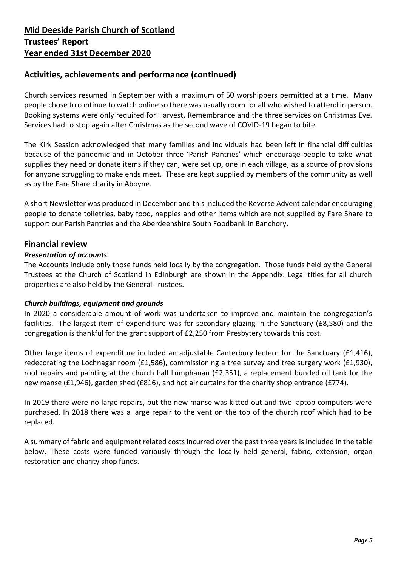## **Activities, achievements and performance (continued)**

Church services resumed in September with a maximum of 50 worshippers permitted at a time. Many people chose to continue to watch online so there was usually room for all who wished to attend in person. Booking systems were only required for Harvest, Remembrance and the three services on Christmas Eve. Services had to stop again after Christmas as the second wave of COVID-19 began to bite.

The Kirk Session acknowledged that many families and individuals had been left in financial difficulties because of the pandemic and in October three 'Parish Pantries' which encourage people to take what supplies they need or donate items if they can, were set up, one in each village, as a source of provisions for anyone struggling to make ends meet. These are kept supplied by members of the community as well as by the Fare Share charity in Aboyne.

A short Newsletter was produced in December and this included the Reverse Advent calendar encouraging people to donate toiletries, baby food, nappies and other items which are not supplied by Fare Share to support our Parish Pantries and the Aberdeenshire South Foodbank in Banchory.

## **Financial review**

#### *Presentation of accounts*

The Accounts include only those funds held locally by the congregation. Those funds held by the General Trustees at the Church of Scotland in Edinburgh are shown in the Appendix. Legal titles for all church properties are also held by the General Trustees.

#### *Church buildings, equipment and grounds*

In 2020 a considerable amount of work was undertaken to improve and maintain the congregation's facilities. The largest item of expenditure was for secondary glazing in the Sanctuary (£8,580) and the congregation is thankful for the grant support of £2,250 from Presbytery towards this cost.

Other large items of expenditure included an adjustable Canterbury lectern for the Sanctuary (£1,416), redecorating the Lochnagar room (£1,586), commissioning a tree survey and tree surgery work (£1,930), roof repairs and painting at the church hall Lumphanan (£2,351), a replacement bunded oil tank for the new manse (£1,946), garden shed (£816), and hot air curtains for the charity shop entrance (£774).

In 2019 there were no large repairs, but the new manse was kitted out and two laptop computers were purchased. In 2018 there was a large repair to the vent on the top of the church roof which had to be replaced.

A summary of fabric and equipment related costs incurred over the past three years is included in the table below. These costs were funded variously through the locally held general, fabric, extension, organ restoration and charity shop funds.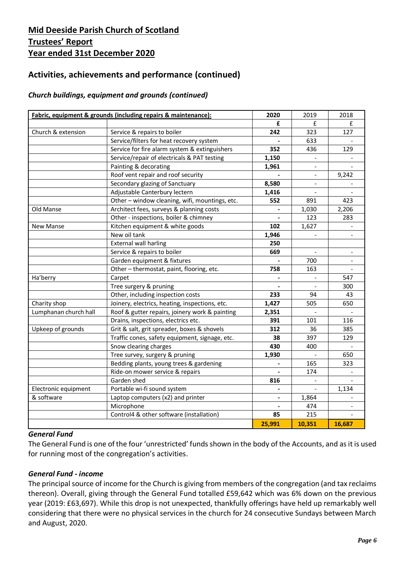# **Activities, achievements and performance (continued)**

## *Church buildings, equipment and grounds (continued)*

|                       | Fabric, equipment & grounds (including repairs & maintenance): | 2020                     | 2019   | 2018           |
|-----------------------|----------------------------------------------------------------|--------------------------|--------|----------------|
|                       |                                                                | £                        | £      | £              |
| Church & extension    | Service & repairs to boiler                                    | 242                      | 323    | 127            |
|                       | Service/filters for heat recovery system                       |                          | 633    |                |
|                       | Service for fire alarm system & extinguishers                  | 352                      | 436    | 129            |
|                       | Service/repair of electricals & PAT testing                    | 1,150                    |        |                |
|                       | Painting & decorating                                          | 1,961                    | ÷.     |                |
|                       | Roof vent repair and roof security                             |                          | $\sim$ | 9,242          |
|                       | Secondary glazing of Sanctuary                                 | 8,580                    | ۰      |                |
|                       | Adjustable Canterbury lectern                                  | 1,416                    | $\sim$ |                |
|                       | Other - window cleaning, wifi, mountings, etc.                 | 552                      | 891    | 423            |
| Old Manse             | Architect fees, surveys & planning costs                       |                          | 1,030  | 2,206          |
|                       | Other - inspections, boiler & chimney                          |                          | 123    | 283            |
| <b>New Manse</b>      | Kitchen equipment & white goods                                | 102                      | 1,627  |                |
|                       | New oil tank                                                   | 1,946                    |        |                |
|                       | <b>External wall harling</b>                                   | 250                      |        |                |
|                       | Service & repairs to boiler                                    | 669                      |        | $\blacksquare$ |
|                       | Garden equipment & fixtures                                    |                          | 700    |                |
|                       | Other-thermostat, paint, flooring, etc.                        | 758                      | 163    |                |
| Ha'berry              | Carpet                                                         |                          |        | 547            |
|                       | Tree surgery & pruning                                         |                          |        | 300            |
|                       | Other, including inspection costs                              | 233                      | 94     | 43             |
| Charity shop          | Joinery, electrics, heating, inspections, etc.                 | 1,427                    | 505    | 650            |
| Lumphanan church hall | Roof & gutter repairs, joinery work & painting                 | 2,351                    |        |                |
|                       | Drains, inspections, electrics etc.                            | 391                      | 101    | 116            |
| Upkeep of grounds     | Grit & salt, grit spreader, boxes & shovels                    | 312                      | 36     | 385            |
|                       | Traffic cones, safety equipment, signage, etc.                 | 38                       | 397    | 129            |
|                       | Snow clearing charges                                          | 430                      | 400    |                |
|                       | Tree survey, surgery & pruning                                 | 1,930                    |        | 650            |
|                       | Bedding plants, young trees & gardening                        |                          | 165    | 323            |
|                       | Ride-on mower service & repairs                                |                          | 174    |                |
|                       | Garden shed                                                    | 816                      |        |                |
| Electronic equipment  | Portable wi-fi sound system                                    |                          |        | 1,134          |
| & software            | Laptop computers (x2) and printer                              | $\blacksquare$           | 1,864  |                |
|                       | Microphone                                                     | $\overline{\phantom{a}}$ | 474    |                |
|                       | Control4 & other software (installation)                       | 85                       | 215    |                |
|                       |                                                                | 25,991                   | 10,351 | 16,687         |

#### *General Fund*

The General Fund is one of the four 'unrestricted' funds shown in the body of the Accounts, and as it is used for running most of the congregation's activities.

#### *General Fund - income*

The principal source of income for the Church is giving from members of the congregation (and tax reclaims thereon). Overall, giving through the General Fund totalled £59,642 which was 6% down on the previous year (2019: £63,697). While this drop is not unexpected, thankfully offerings have held up remarkably well considering that there were no physical services in the church for 24 consecutive Sundays between March and August, 2020.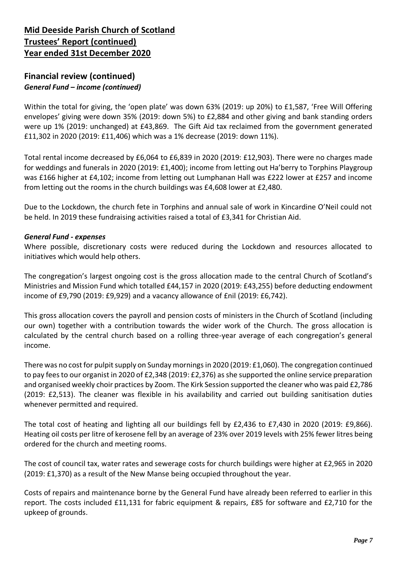## **Financial review (continued)** *General Fund – income (continued)*

Within the total for giving, the 'open plate' was down 63% (2019: up 20%) to £1,587, 'Free Will Offering envelopes' giving were down 35% (2019: down 5%) to £2,884 and other giving and bank standing orders were up 1% (2019: unchanged) at £43,869. The Gift Aid tax reclaimed from the government generated £11,302 in 2020 (2019: £11,406) which was a 1% decrease (2019: down 11%).

Total rental income decreased by £6,064 to £6,839 in 2020 (2019: £12,903). There were no charges made for weddings and funerals in 2020 (2019: £1,400); income from letting out Ha'berry to Torphins Playgroup was £166 higher at £4,102; income from letting out Lumphanan Hall was £222 lower at £257 and income from letting out the rooms in the church buildings was £4,608 lower at £2,480.

Due to the Lockdown, the church fete in Torphins and annual sale of work in Kincardine O'Neil could not be held. In 2019 these fundraising activities raised a total of £3,341 for Christian Aid.

#### *General Fund - expenses*

Where possible, discretionary costs were reduced during the Lockdown and resources allocated to initiatives which would help others.

The congregation's largest ongoing cost is the gross allocation made to the central Church of Scotland's Ministries and Mission Fund which totalled £44,157 in 2020 (2019: £43,255) before deducting endowment income of £9,790 (2019: £9,929) and a vacancy allowance of £nil (2019: £6,742).

This gross allocation covers the payroll and pension costs of ministers in the Church of Scotland (including our own) together with a contribution towards the wider work of the Church. The gross allocation is calculated by the central church based on a rolling three-year average of each congregation's general income.

There was no cost for pulpit supply on Sunday mornings in 2020 (2019: £1,060). The congregation continued to pay fees to our organist in 2020 of £2,348 (2019: £2,376) as she supported the online service preparation and organised weekly choir practices by Zoom. The Kirk Session supported the cleaner who was paid £2,786 (2019: £2,513). The cleaner was flexible in his availability and carried out building sanitisation duties whenever permitted and required.

The total cost of heating and lighting all our buildings fell by £2,436 to £7,430 in 2020 (2019: £9,866). Heating oil costs per litre of kerosene fell by an average of 23% over 2019 levels with 25% fewer litres being ordered for the church and meeting rooms.

The cost of council tax, water rates and sewerage costs for church buildings were higher at £2,965 in 2020 (2019: £1,370) as a result of the New Manse being occupied throughout the year.

Costs of repairs and maintenance borne by the General Fund have already been referred to earlier in this report. The costs included £11,131 for fabric equipment & repairs, £85 for software and £2,710 for the upkeep of grounds.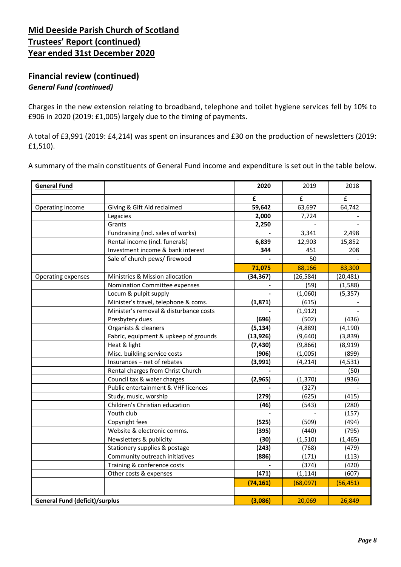## **Financial review (continued)** *General Fund (continued)*

Charges in the new extension relating to broadband, telephone and toilet hygiene services fell by 10% to £906 in 2020 (2019: £1,005) largely due to the timing of payments.

A total of £3,991 (2019: £4,214) was spent on insurances and £30 on the production of newsletters (2019: £1,510).

A summary of the main constituents of General Fund income and expenditure is set out in the table below.

| <b>General Fund</b>                   |                                        | 2020      | 2019        | 2018               |
|---------------------------------------|----------------------------------------|-----------|-------------|--------------------|
|                                       |                                        | £         | $\mathbf f$ | $\pmb{\mathsf{f}}$ |
| Operating income                      | Giving & Gift Aid reclaimed            | 59,642    | 63,697      | 64,742             |
|                                       | Legacies                               | 2,000     | 7,724       |                    |
|                                       | Grants                                 | 2,250     |             |                    |
|                                       | Fundraising (incl. sales of works)     |           | 3,341       | 2,498              |
|                                       | Rental income (incl. funerals)         | 6,839     | 12,903      | 15,852             |
|                                       | Investment income & bank interest      | 344       | 451         | 208                |
|                                       | Sale of church pews/ firewood          |           | 50          |                    |
|                                       |                                        | 71,075    | 88,166      | 83,300             |
| Operating expenses                    | Ministries & Mission allocation        | (34, 367) | (26, 584)   | (20, 481)          |
|                                       | Nomination Committee expenses          |           | (59)        | (1, 588)           |
|                                       | Locum & pulpit supply                  |           | (1,060)     | (5, 357)           |
|                                       | Minister's travel, telephone & coms.   | (1, 871)  | (615)       |                    |
|                                       | Minister's removal & disturbance costs |           | (1, 912)    |                    |
|                                       | Presbytery dues                        | (696)     | (502)       | (436)              |
|                                       | Organists & cleaners                   | (5, 134)  | (4,889)     | (4, 190)           |
|                                       | Fabric, equipment & upkeep of grounds  | (13, 926) | (9,640)     | (3,839)            |
|                                       | Heat & light                           | (7, 430)  | (9,866)     | (8,919)            |
|                                       | Misc. building service costs           | (906)     | (1,005)     | (899)              |
|                                       | Insurances - net of rebates            | (3,991)   | (4, 214)    | (4, 531)           |
|                                       | Rental charges from Christ Church      |           |             | (50)               |
|                                       | Council tax & water charges            | (2,965)   | (1, 370)    | (936)              |
|                                       | Public entertainment & VHF licences    |           | (327)       |                    |
|                                       | Study, music, worship                  | (279)     | (625)       | (415)              |
|                                       | Children's Christian education         | (46)      | (543)       | (280)              |
|                                       | Youth club                             |           |             | (157)              |
|                                       | Copyright fees                         | (525)     | (509)       | (494)              |
|                                       | Website & electronic comms.            | (395)     | (440)       | (795)              |
|                                       | Newsletters & publicity                | (30)      | (1, 510)    | (1, 465)           |
|                                       | Stationery supplies & postage          | (243)     | (768)       | (479)              |
|                                       | Community outreach initiatives         | (886)     | (171)       | (113)              |
|                                       | Training & conference costs            |           | (374)       | (420)              |
|                                       | Other costs & expenses                 | (471)     | (1, 114)    | (607)              |
|                                       |                                        | (74, 161) | (68,097)    | (56, 451)          |
|                                       |                                        |           |             |                    |
| <b>General Fund (deficit)/surplus</b> |                                        | (3,086)   | 20,069      | 26,849             |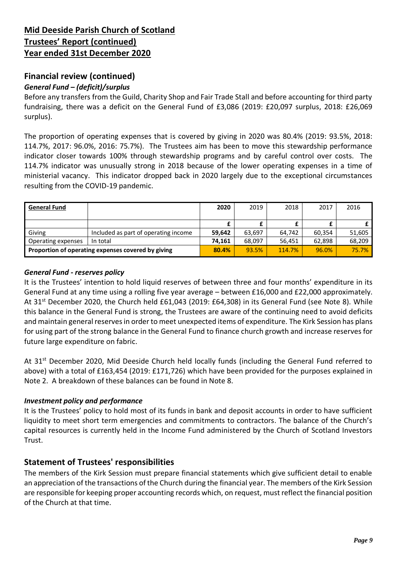## **Financial review (continued)**

## *General Fund – (deficit)/surplus*

Before any transfers from the Guild, Charity Shop and Fair Trade Stall and before accounting for third party fundraising, there was a deficit on the General Fund of £3,086 (2019: £20,097 surplus, 2018: £26,069 surplus).

The proportion of operating expenses that is covered by giving in 2020 was 80.4% (2019: 93.5%, 2018: 114.7%, 2017: 96.0%, 2016: 75.7%). The Trustees aim has been to move this stewardship performance indicator closer towards 100% through stewardship programs and by careful control over costs. The 114.7% indicator was unusually strong in 2018 because of the lower operating expenses in a time of ministerial vacancy. This indicator dropped back in 2020 largely due to the exceptional circumstances resulting from the COVID-19 pandemic.

| <b>General Fund</b>                                |                                      | 2020   | 2019   | 2018   | 2017   | 2016   |
|----------------------------------------------------|--------------------------------------|--------|--------|--------|--------|--------|
|                                                    |                                      |        |        |        |        |        |
|                                                    |                                      |        |        |        |        |        |
| Giving                                             | Included as part of operating income | 59.642 | 63,697 | 64,742 | 60,354 | 51,605 |
| Operating expenses                                 | In total                             | 74.161 | 68.097 | 56,451 | 62,898 | 68,209 |
| Proportion of operating expenses covered by giving | 80.4%                                | 93.5%  | 114.7% | 96.0%  | 75.7%  |        |

## *General Fund - reserves policy*

It is the Trustees' intention to hold liquid reserves of between three and four months' expenditure in its General Fund at any time using a rolling five year average – between £16,000 and £22,000 approximately. At 31<sup>st</sup> December 2020, the Church held £61,043 (2019: £64,308) in its General Fund (see Note 8). While this balance in the General Fund is strong, the Trustees are aware of the continuing need to avoid deficits and maintain general reserves in order to meet unexpected items of expenditure. The Kirk Session has plans for using part of the strong balance in the General Fund to finance church growth and increase reserves for future large expenditure on fabric.

At 31<sup>st</sup> December 2020, Mid Deeside Church held locally funds (including the General Fund referred to above) with a total of £163,454 (2019: £171,726) which have been provided for the purposes explained in Note 2. A breakdown of these balances can be found in Note 8.

## *Investment policy and performance*

It is the Trustees' policy to hold most of its funds in bank and deposit accounts in order to have sufficient liquidity to meet short term emergencies and commitments to contractors. The balance of the Church's capital resources is currently held in the Income Fund administered by the Church of Scotland Investors Trust.

## **Statement of Trustees' responsibilities**

The members of the Kirk Session must prepare financial statements which give sufficient detail to enable an appreciation of the transactions of the Church during the financial year. The members of the Kirk Session are responsible for keeping proper accounting records which, on request, must reflect the financial position of the Church at that time.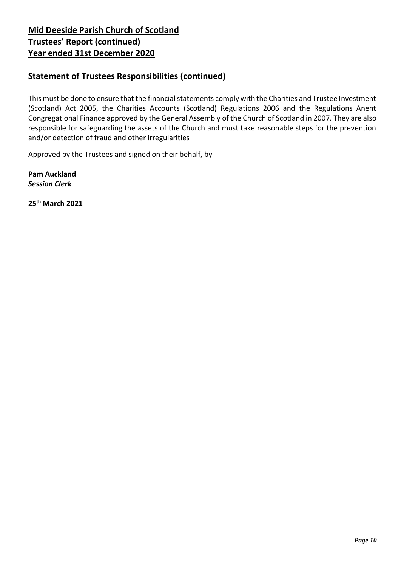## **Statement of Trustees Responsibilities (continued)**

This must be done to ensure that the financial statements comply with the Charities and Trustee Investment (Scotland) Act 2005, the Charities Accounts (Scotland) Regulations 2006 and the Regulations Anent Congregational Finance approved by the General Assembly of the Church of Scotland in 2007. They are also responsible for safeguarding the assets of the Church and must take reasonable steps for the prevention and/or detection of fraud and other irregularities

Approved by the Trustees and signed on their behalf, by

**Pam Auckland** *Session Clerk*

**25th March 2021**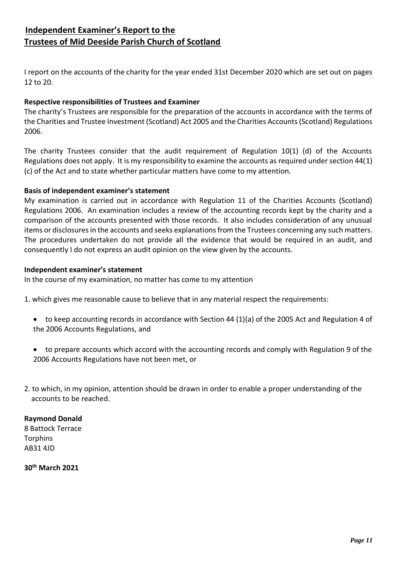## **Independent Examiner's Report to the Trustees of Mid Deeside Parish Church of Scotland**

I report on the accounts of the charity for the year ended 31st December 2020 which are set out on pages 12 to 20.

## **Respective responsibilities of Trustees and Examiner**

The charity's Trustees are responsible for the preparation of the accounts in accordance with the terms of the Charities and Trustee Investment (Scotland) Act 2005 and the Charities Accounts (Scotland) Regulations 2006.

The charity Trustees consider that the audit requirement of Regulation 10(1) (d) of the Accounts Regulations does not apply. It is my responsibility to examine the accounts as required under section 44(1) (c) of the Act and to state whether particular matters have come to my attention.

## **Basis of independent examiner's statement**

My examination is carried out in accordance with Regulation 11 of the Charities Accounts (Scotland) Regulations 2006. An examination includes a review of the accounting records kept by the charity and a comparison of the accounts presented with those records. It also includes consideration of any unusual items or disclosures in the accounts and seeks explanations from the Trustees concerning any such matters. The procedures undertaken do not provide all the evidence that would be required in an audit, and consequently I do not express an audit opinion on the view given by the accounts.

#### **Independent examiner's statement**

In the course of my examination, no matter has come to my attention

- 1. which gives me reasonable cause to believe that in any material respect the requirements:
	- to keep accounting records in accordance with Section 44 (1)(a) of the 2005 Act and Regulation 4 of the 2006 Accounts Regulations, and
	- to prepare accounts which accord with the accounting records and comply with Regulation 9 of the 2006 Accounts Regulations have not been met, or
- 2. to which, in my opinion, attention should be drawn in order to enable a proper understanding of the accounts to be reached.

## **Raymond Donald**

8 Battock Terrace **Torphins** AB31 4JD

**30 th March 2021**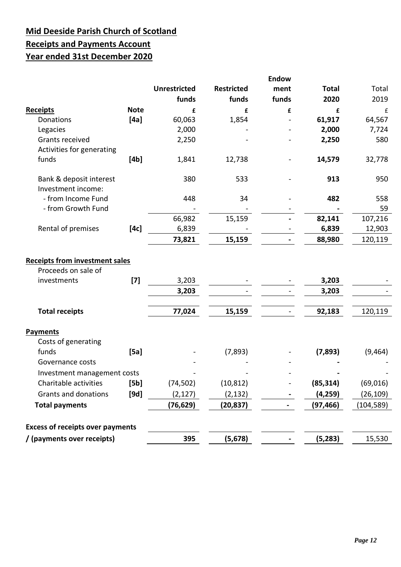# **Mid Deeside Parish Church of Scotland Receipts and Payments Account Year ended 31st December 2020**

|                                               |             | <b>Unrestricted</b><br>funds | <b>Restricted</b><br>funds | <b>Endow</b><br>ment<br>funds | <b>Total</b><br>2020 | Total<br>2019 |
|-----------------------------------------------|-------------|------------------------------|----------------------------|-------------------------------|----------------------|---------------|
| <b>Receipts</b>                               | <b>Note</b> | £                            | £                          | £                             | £                    | £             |
| Donations                                     | [4a]        | 60,063                       | 1,854                      |                               | 61,917               | 64,567        |
| Legacies                                      |             | 2,000                        |                            |                               | 2,000                | 7,724         |
| Grants received                               |             | 2,250                        |                            |                               | 2,250                | 580           |
| Activities for generating                     |             |                              |                            |                               |                      |               |
| funds                                         | [4b]        | 1,841                        | 12,738                     |                               | 14,579               | 32,778        |
| Bank & deposit interest<br>Investment income: |             | 380                          | 533                        |                               | 913                  | 950           |
| - from Income Fund                            |             | 448                          | 34                         |                               | 482                  | 558           |
| - from Growth Fund                            |             |                              |                            |                               |                      | 59            |
|                                               |             | 66,982                       | 15,159                     |                               | 82,141               | 107,216       |
| Rental of premises                            | [4c]        | 6,839                        |                            |                               | 6,839                | 12,903        |
|                                               |             | 73,821                       | 15,159                     |                               | 88,980               | 120,119       |
| Proceeds on sale of<br>investments            | $[7]$       | 3,203<br>3,203               |                            |                               | 3,203<br>3,203       |               |
| <b>Total receipts</b>                         |             | 77,024                       | 15,159                     |                               | 92,183               | 120,119       |
| Payments<br>Costs of generating               |             |                              |                            |                               |                      |               |
| funds                                         | [5a]        |                              | (7, 893)                   |                               | (7,893)              | (9, 464)      |
| Governance costs                              |             |                              |                            |                               |                      |               |
| Investment management costs                   |             |                              |                            |                               |                      |               |
| Charitable activities                         | [5b]        | (74, 502)                    | (10, 812)                  |                               | (85, 314)            | (69, 016)     |
| Grants and donations                          | [9d]        | (2, 127)                     | (2, 132)                   |                               | (4, 259)             | (26,109)      |
| <b>Total payments</b>                         |             | (76, 629)                    | (20, 837)                  |                               | (97, 466)            | (104, 589)    |
| <b>Excess of receipts over payments</b>       |             |                              |                            |                               |                      |               |
| / (payments over receipts)                    |             | 395                          | (5, 678)                   |                               | (5, 283)             | 15,530        |
|                                               |             |                              |                            |                               |                      |               |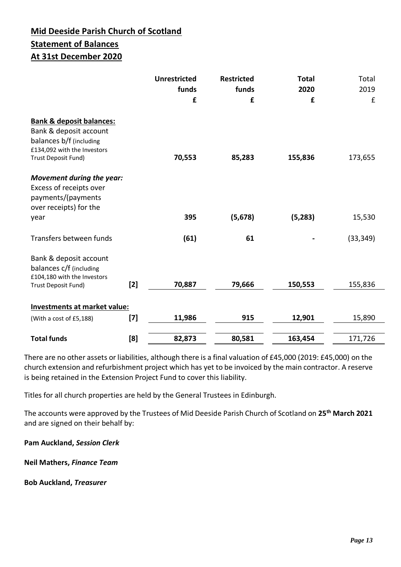# **Mid Deeside Parish Church of Scotland Statement of Balances At 31st December 2020**

|                                                                                                                                                |       | <b>Unrestricted</b><br>funds<br>£ | <b>Restricted</b><br>funds<br>£ | <b>Total</b><br>2020<br>£ | Total<br>2019<br>£ |
|------------------------------------------------------------------------------------------------------------------------------------------------|-------|-----------------------------------|---------------------------------|---------------------------|--------------------|
| <b>Bank &amp; deposit balances:</b><br>Bank & deposit account<br>balances b/f (including<br>£134,092 with the Investors<br>Trust Deposit Fund) |       | 70,553                            | 85,283                          | 155,836                   | 173,655            |
| Movement during the year:<br>Excess of receipts over<br>payments/(payments<br>over receipts) for the                                           |       |                                   |                                 |                           |                    |
| year                                                                                                                                           |       | 395                               | (5, 678)                        | (5, 283)                  | 15,530             |
| Transfers between funds                                                                                                                        |       | (61)                              | 61                              |                           | (33, 349)          |
| Bank & deposit account<br>balances c/f (including<br>£104,180 with the Investors                                                               |       |                                   |                                 |                           |                    |
| Trust Deposit Fund)                                                                                                                            | $[2]$ | 70,887                            | 79,666                          | 150,553                   | 155,836            |
| Investments at market value:                                                                                                                   |       |                                   |                                 |                           |                    |
| (With a cost of £5,188)                                                                                                                        | $[7]$ | 11,986                            | 915                             | 12,901                    | 15,890             |
| <b>Total funds</b>                                                                                                                             | [8]   | 82,873                            | 80,581                          | 163,454                   | 171,726            |

There are no other assets or liabilities, although there is a final valuation of £45,000 (2019: £45,000) on the church extension and refurbishment project which has yet to be invoiced by the main contractor. A reserve is being retained in the Extension Project Fund to cover this liability.

Titles for all church properties are held by the General Trustees in Edinburgh.

The accounts were approved by the Trustees of Mid Deeside Parish Church of Scotland on **25th March 2021** and are signed on their behalf by:

**Pam Auckland,** *Session Clerk*

**Neil Mathers,** *Finance Team*

**Bob Auckland,** *Treasurer*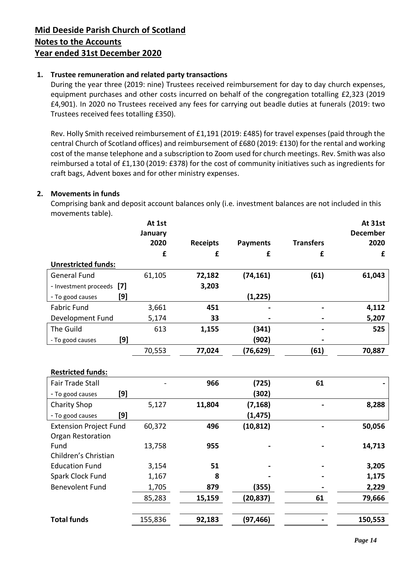## **1. Trustee remuneration and related party transactions**

During the year three (2019: nine) Trustees received reimbursement for day to day church expenses, equipment purchases and other costs incurred on behalf of the congregation totalling £2,323 (2019 £4,901). In 2020 no Trustees received any fees for carrying out beadle duties at funerals (2019: two Trustees received fees totalling £350).

Rev. Holly Smith received reimbursement of £1,191 (2019: £485) for travel expenses (paid through the central Church of Scotland offices) and reimbursement of £680 (2019: £130) for the rental and working cost of the manse telephone and a subscription to Zoom used for church meetings. Rev. Smith was also reimbursed a total of £1,130 (2019: £378) for the cost of community initiatives such as ingredients for craft bags, Advent boxes and for other ministry expenses.

## **2. Movements in funds**

Comprising bank and deposit account balances only (i.e. investment balances are not included in this movements table).

|                            |     | At 1st<br>January<br>2020<br>£ | <b>Receipts</b><br>£ | <b>Payments</b><br>£ | <b>Transfers</b><br>£ | <b>At 31st</b><br><b>December</b><br>2020<br>£ |
|----------------------------|-----|--------------------------------|----------------------|----------------------|-----------------------|------------------------------------------------|
| <b>Unrestricted funds:</b> |     |                                |                      |                      |                       |                                                |
| <b>General Fund</b>        |     | 61,105                         | 72,182               | (74, 161)            | (61)                  | 61,043                                         |
| - Investment proceeds [7]  |     |                                | 3,203                |                      |                       |                                                |
| - To good causes           | [9] |                                |                      | (1,225)              |                       |                                                |
| <b>Fabric Fund</b>         |     | 3,661                          | 451                  |                      |                       | 4,112                                          |
| Development Fund           |     | 5,174                          | 33                   |                      |                       | 5,207                                          |
| The Guild                  |     | 613                            | 1,155                | (341)                |                       | 525                                            |
| - To good causes           | [9] |                                |                      | (902)                |                       |                                                |
|                            |     | 70,553                         | 77,024               | (76,629)             | (61)                  | 70,887                                         |

|                               |         | 966    | (725)     | 61 |         |  |  |
|-------------------------------|---------|--------|-----------|----|---------|--|--|
| [9]                           |         |        | (302)     |    |         |  |  |
|                               | 5,127   | 11,804 | (7, 168)  |    | 8,288   |  |  |
| [9]                           |         |        | (1, 475)  |    |         |  |  |
| <b>Extension Project Fund</b> | 60,372  | 496    | (10, 812) |    | 50,056  |  |  |
| <b>Organ Restoration</b>      |         |        |           |    |         |  |  |
|                               | 13,758  | 955    |           |    | 14,713  |  |  |
| Children's Christian          |         |        |           |    |         |  |  |
|                               | 3,154   | 51     |           |    | 3,205   |  |  |
|                               | 1,167   | 8      |           |    | 1,175   |  |  |
|                               | 1,705   | 879    | (355)     |    | 2,229   |  |  |
|                               | 85,283  | 15,159 | (20,837)  | 61 | 79,666  |  |  |
|                               |         |        |           |    |         |  |  |
|                               | 155,836 | 92,183 | (97, 466) |    | 150,553 |  |  |
|                               |         |        |           |    |         |  |  |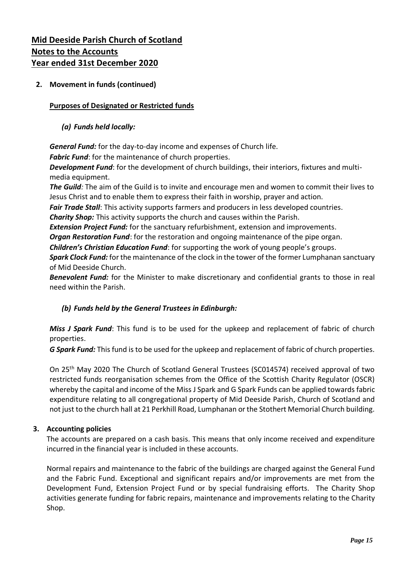## **2. Movement in funds (continued)**

#### **Purposes of Designated or Restricted funds**

#### *(a) Funds held locally:*

*General Fund:* for the day-to-day income and expenses of Church life.

*Fabric Fund*: for the maintenance of church properties.

*Development Fund*: for the development of church buildings, their interiors, fixtures and multimedia equipment.

*The Guild:* The aim of the Guild is to invite and encourage men and women to commit their lives to Jesus Christ and to enable them to express their faith in worship, prayer and action.

*Fair Trade Stall*: This activity supports farmers and producers in less developed countries.

*Charity Shop:* This activity supports the church and causes within the Parish.

*Extension Project Fund:* for the sanctuary refurbishment, extension and improvements.

*Organ Restoration Fund*: for the restoration and ongoing maintenance of the pipe organ.

*Children's Christian Education Fund*: for supporting the work of young people's groups.

*Spark Clock Fund:* for the maintenance of the clock in the tower of the former Lumphanan sanctuary of Mid Deeside Church.

*Benevolent Fund:* for the Minister to make discretionary and confidential grants to those in real need within the Parish.

## *(b) Funds held by the General Trustees in Edinburgh:*

*Miss J Spark Fund*: This fund is to be used for the upkeep and replacement of fabric of church properties.

*G Spark Fund:* This fund is to be used for the upkeep and replacement of fabric of church properties.

On 25th May 2020 The Church of Scotland General Trustees (SC014574) received approval of two restricted funds reorganisation schemes from the Office of the Scottish Charity Regulator (OSCR) whereby the capital and income of the Miss J Spark and G Spark Funds can be applied towards fabric expenditure relating to all congregational property of Mid Deeside Parish, Church of Scotland and not just to the church hall at 21 Perkhill Road, Lumphanan or the Stothert Memorial Church building.

## **3. Accounting policies**

The accounts are prepared on a cash basis. This means that only income received and expenditure incurred in the financial year is included in these accounts.

Normal repairs and maintenance to the fabric of the buildings are charged against the General Fund and the Fabric Fund. Exceptional and significant repairs and/or improvements are met from the Development Fund, Extension Project Fund or by special fundraising efforts. The Charity Shop activities generate funding for fabric repairs, maintenance and improvements relating to the Charity Shop.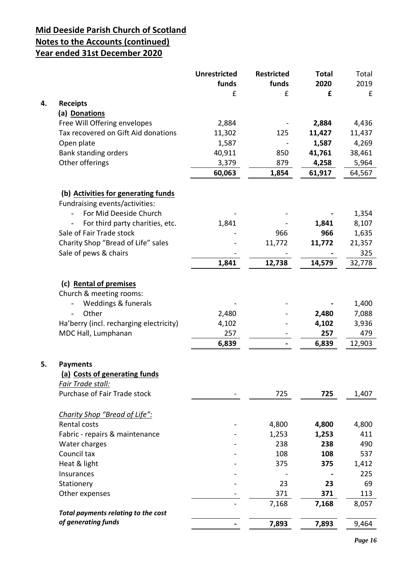# **Mid Deeside Parish Church of Scotland Notes to the Accounts (continued)**

# **Year ended 31st December 2020**

|    |                                                             | <b>Unrestricted</b><br>funds | <b>Restricted</b><br>funds | <b>Total</b><br>2020 | Total<br>2019 |
|----|-------------------------------------------------------------|------------------------------|----------------------------|----------------------|---------------|
|    |                                                             | £                            | £                          | £                    | £             |
| 4. | <b>Receipts</b>                                             |                              |                            |                      |               |
|    | (a) Donations                                               |                              |                            |                      |               |
|    | Free Will Offering envelopes                                | 2,884                        |                            | 2,884                | 4,436         |
|    | Tax recovered on Gift Aid donations                         | 11,302                       | 125                        | 11,427               | 11,437        |
|    | Open plate                                                  | 1,587                        |                            | 1,587                | 4,269         |
|    | Bank standing orders                                        | 40,911                       | 850                        | 41,761               | 38,461        |
|    | Other offerings                                             | 3,379                        | 879                        | 4,258                | 5,964         |
|    |                                                             | 60,063                       | 1,854                      | 61,917               | 64,567        |
|    |                                                             |                              |                            |                      |               |
|    | (b) Activities for generating funds                         |                              |                            |                      |               |
|    | Fundraising events/activities:                              |                              |                            |                      |               |
|    | For Mid Deeside Church                                      |                              |                            |                      | 1,354         |
|    | For third party charities, etc.<br>$\overline{\phantom{a}}$ | 1,841                        |                            | 1,841                | 8,107         |
|    | Sale of Fair Trade stock                                    |                              | 966                        | 966                  | 1,635         |
|    | Charity Shop "Bread of Life" sales                          |                              | 11,772                     | 11,772               | 21,357        |
|    | Sale of pews & chairs                                       |                              |                            |                      | 325           |
|    |                                                             | 1,841                        | 12,738                     | 14,579               | 32,778        |
|    |                                                             |                              |                            |                      |               |
|    | (c) Rental of premises                                      |                              |                            |                      |               |
|    | Church & meeting rooms:                                     |                              |                            |                      |               |
|    | Weddings & funerals                                         |                              |                            |                      | 1,400         |
|    | Other                                                       | 2,480                        |                            | 2,480                | 7,088         |
|    | Ha'berry (incl. recharging electricity)                     | 4,102                        |                            | 4,102                | 3,936         |
|    | MDC Hall, Lumphanan                                         | 257                          |                            | 257                  | 479           |
|    |                                                             | 6,839                        |                            | 6,839                | 12,903        |
|    |                                                             |                              |                            |                      |               |
| 5. | <b>Payments</b>                                             |                              |                            |                      |               |
|    | (a) Costs of generating funds                               |                              |                            |                      |               |
|    | Fair Trade stall:                                           |                              |                            |                      |               |
|    | Purchase of Fair Trade stock                                |                              | 725                        | 725                  | 1,407         |
|    |                                                             |                              |                            |                      |               |
|    | Charity Shop "Bread of Life":                               |                              |                            |                      |               |
|    | Rental costs                                                |                              | 4,800                      | 4,800                | 4,800         |
|    | Fabric - repairs & maintenance                              |                              | 1,253                      | 1,253                | 411           |
|    | Water charges                                               |                              | 238                        | 238                  | 490           |
|    | Council tax                                                 |                              | 108                        | 108                  | 537           |
|    | Heat & light                                                |                              | 375                        | 375                  | 1,412         |
|    | Insurances                                                  |                              |                            |                      | 225           |
|    | Stationery                                                  |                              | 23                         | 23                   | 69            |
|    | Other expenses                                              |                              | 371                        | 371                  | 113           |
|    | Total payments relating to the cost                         |                              | 7,168                      | 7,168                | 8,057         |
|    | of generating funds                                         |                              | 7,893                      | 7,893                | 9,464         |
|    |                                                             |                              |                            |                      |               |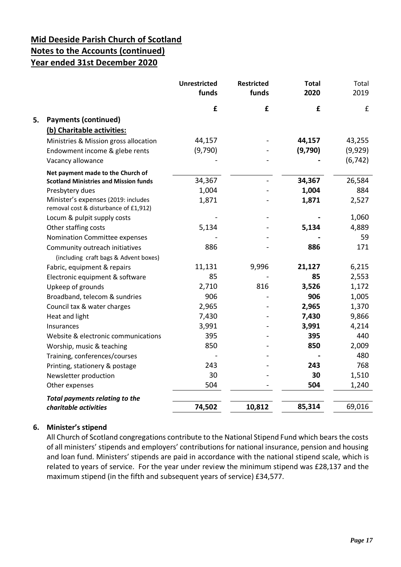|    |                                                                              | <b>Unrestricted</b><br>funds | <b>Restricted</b><br>funds | <b>Total</b><br>2020 | Total<br>2019      |
|----|------------------------------------------------------------------------------|------------------------------|----------------------------|----------------------|--------------------|
|    |                                                                              | £                            | £                          | £                    | $\pmb{\mathsf{f}}$ |
| 5. | <b>Payments (continued)</b>                                                  |                              |                            |                      |                    |
|    | (b) Charitable activities:                                                   |                              |                            |                      |                    |
|    | Ministries & Mission gross allocation                                        | 44,157                       |                            | 44,157               | 43,255             |
|    | Endowment income & glebe rents                                               | (9,790)                      |                            | (9,790)              | (9,929)            |
|    | Vacancy allowance                                                            |                              |                            |                      | (6, 742)           |
|    | Net payment made to the Church of                                            |                              |                            |                      |                    |
|    | <b>Scotland Ministries and Mission funds</b>                                 | 34,367                       |                            | 34,367               | 26,584             |
|    | Presbytery dues                                                              | 1,004                        |                            | 1,004                | 884                |
|    | Minister's expenses (2019: includes<br>removal cost & disturbance of £1,912) | 1,871                        |                            | 1,871                | 2,527              |
|    | Locum & pulpit supply costs                                                  |                              |                            |                      | 1,060              |
|    | Other staffing costs                                                         | 5,134                        |                            | 5,134                | 4,889              |
|    | Nomination Committee expenses                                                |                              |                            |                      | 59                 |
|    | Community outreach initiatives                                               | 886                          |                            | 886                  | 171                |
|    | (including craft bags & Advent boxes)                                        |                              |                            |                      |                    |
|    | Fabric, equipment & repairs                                                  | 11,131                       | 9,996                      | 21,127               | 6,215              |
|    | Electronic equipment & software                                              | 85                           |                            | 85                   | 2,553              |
|    | Upkeep of grounds                                                            | 2,710                        | 816                        | 3,526                | 1,172              |
|    | Broadband, telecom & sundries                                                | 906                          |                            | 906                  | 1,005              |
|    | Council tax & water charges                                                  | 2,965                        |                            | 2,965                | 1,370              |
|    | Heat and light                                                               | 7,430                        |                            | 7,430                | 9,866              |
|    | Insurances                                                                   | 3,991                        |                            | 3,991                | 4,214              |
|    | Website & electronic communications                                          | 395                          |                            | 395                  | 440                |
|    | Worship, music & teaching                                                    | 850                          |                            | 850                  | 2,009              |
|    | Training, conferences/courses                                                |                              |                            |                      | 480                |
|    | Printing, stationery & postage                                               | 243                          |                            | 243                  | 768                |
|    | Newsletter production                                                        | 30                           |                            | 30                   | 1,510              |
|    | Other expenses                                                               | 504                          |                            | 504                  | 1,240              |
|    | <b>Total payments relating to the</b>                                        |                              |                            |                      |                    |
|    | charitable activities                                                        | 74,502                       | 10,812                     | 85,314               | 69,016             |

## **6. Minister's stipend**

All Church of Scotland congregations contribute to the National Stipend Fund which bears the costs of all ministers' stipends and employers' contributions for national insurance, pension and housing and loan fund. Ministers' stipends are paid in accordance with the national stipend scale, which is related to years of service. For the year under review the minimum stipend was £28,137 and the maximum stipend (in the fifth and subsequent years of service) £34,577.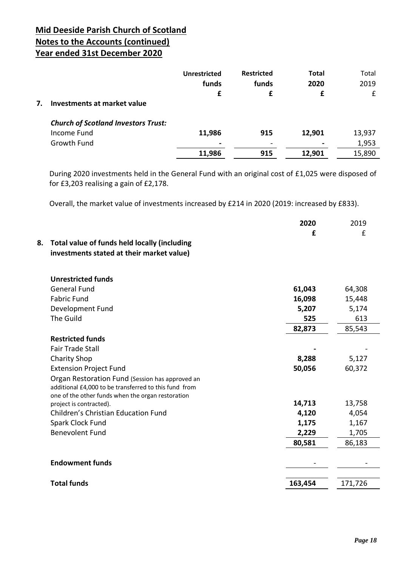|    |                                            | <b>Unrestricted</b> | <b>Restricted</b> | <b>Total</b> | Total  |
|----|--------------------------------------------|---------------------|-------------------|--------------|--------|
|    |                                            | funds               | funds             | 2020         | 2019   |
|    |                                            | £                   |                   | £            | £      |
| 7. | Investments at market value                |                     |                   |              |        |
|    | <b>Church of Scotland Investors Trust:</b> |                     |                   |              |        |
|    | <b>Income Fund</b>                         | 11,986              | 915               | 12,901       | 13,937 |
|    | Growth Fund                                | $\blacksquare$      | -                 |              | 1,953  |
|    |                                            | 11,986              | 915               | 12,901       | 15,890 |

During 2020 investments held in the General Fund with an original cost of £1,025 were disposed of for £3,203 realising a gain of £2,178.

Overall, the market value of investments increased by £214 in 2020 (2019: increased by £833).

| 8.<br>Total value of funds held locally (including<br>investments stated at their market value)                                                               | 2020<br>£ | 2019<br>£ |
|---------------------------------------------------------------------------------------------------------------------------------------------------------------|-----------|-----------|
| <b>Unrestricted funds</b>                                                                                                                                     |           |           |
| <b>General Fund</b>                                                                                                                                           | 61,043    | 64,308    |
| <b>Fabric Fund</b>                                                                                                                                            | 16,098    | 15,448    |
| Development Fund                                                                                                                                              | 5,207     | 5,174     |
| The Guild                                                                                                                                                     | 525       | 613       |
|                                                                                                                                                               | 82,873    | 85,543    |
| <b>Restricted funds</b>                                                                                                                                       |           |           |
| <b>Fair Trade Stall</b>                                                                                                                                       |           |           |
| <b>Charity Shop</b>                                                                                                                                           | 8,288     | 5,127     |
| <b>Extension Project Fund</b>                                                                                                                                 | 50,056    | 60,372    |
| Organ Restoration Fund (Session has approved an<br>additional £4,000 to be transferred to this fund from<br>one of the other funds when the organ restoration |           |           |
| project is contracted).                                                                                                                                       | 14,713    | 13,758    |
| <b>Children's Christian Education Fund</b>                                                                                                                    | 4,120     | 4,054     |
| Spark Clock Fund                                                                                                                                              | 1,175     | 1,167     |
| <b>Benevolent Fund</b>                                                                                                                                        | 2,229     | 1,705     |
|                                                                                                                                                               | 80,581    | 86,183    |
| <b>Endowment funds</b>                                                                                                                                        |           |           |
| <b>Total funds</b>                                                                                                                                            | 163,454   | 171,726   |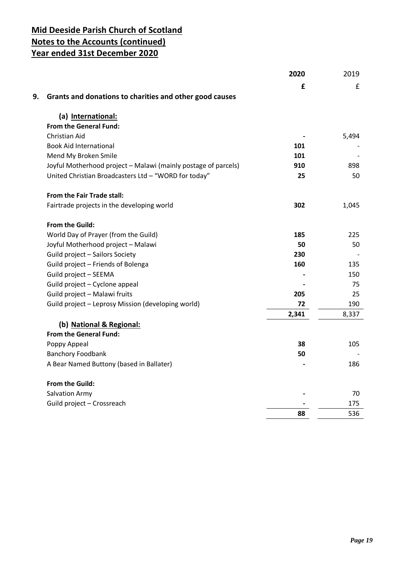|                                                                | 2020  | 2019  |
|----------------------------------------------------------------|-------|-------|
|                                                                | £     | £     |
| 9.<br>Grants and donations to charities and other good causes  |       |       |
| (a) International:                                             |       |       |
| From the General Fund:                                         |       |       |
| Christian Aid                                                  |       | 5,494 |
| <b>Book Aid International</b>                                  | 101   |       |
| Mend My Broken Smile                                           | 101   |       |
| Joyful Motherhood project - Malawi (mainly postage of parcels) | 910   | 898   |
| United Christian Broadcasters Ltd - "WORD for today"           | 25    | 50    |
| From the Fair Trade stall:                                     |       |       |
| Fairtrade projects in the developing world                     | 302   | 1,045 |
| From the Guild:                                                |       |       |
| World Day of Prayer (from the Guild)                           | 185   | 225   |
| Joyful Motherhood project - Malawi                             | 50    | 50    |
| Guild project - Sailors Society                                | 230   |       |
| Guild project - Friends of Bolenga                             | 160   | 135   |
| Guild project - SEEMA                                          |       | 150   |
| Guild project - Cyclone appeal                                 |       | 75    |
| Guild project - Malawi fruits                                  | 205   | 25    |
| Guild project - Leprosy Mission (developing world)             | 72    | 190   |
|                                                                | 2,341 | 8,337 |
| (b) National & Regional:                                       |       |       |
| <b>From the General Fund:</b>                                  |       |       |
| Poppy Appeal                                                   | 38    | 105   |
| <b>Banchory Foodbank</b>                                       | 50    |       |
| A Bear Named Buttony (based in Ballater)                       |       | 186   |
| <b>From the Guild:</b>                                         |       |       |
| <b>Salvation Army</b>                                          |       | 70    |
| Guild project - Crossreach                                     |       | 175   |
|                                                                | 88    | 536   |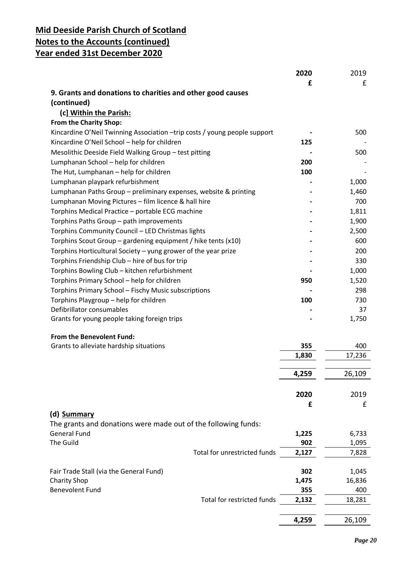|                                                                           | 2020  | 2019   |
|---------------------------------------------------------------------------|-------|--------|
|                                                                           | £     | £      |
| 9. Grants and donations to charities and other good causes                |       |        |
| (continued)                                                               |       |        |
| (c] Within the Parish:                                                    |       |        |
| <b>From the Charity Shop:</b>                                             |       |        |
| Kincardine O'Neil Twinning Association -trip costs / young people support |       | 500    |
| Kincardine O'Neil School - help for children                              | 125   |        |
| Mesolithic Deeside Field Walking Group - test pitting                     |       | 500    |
| Lumphanan School - help for children                                      | 200   |        |
| The Hut, Lumphanan - help for children                                    | 100   |        |
| Lumphanan playpark refurbishment                                          |       | 1,000  |
| Lumphanan Paths Group - preliminary expenses, website & printing          |       | 1,460  |
| Lumphanan Moving Pictures - film licence & hall hire                      |       | 700    |
| Torphins Medical Practice - portable ECG machine                          |       | 1,811  |
| Torphins Paths Group - path improvements                                  |       | 1,900  |
| Torphins Community Council - LED Christmas lights                         |       | 2,500  |
| Torphins Scout Group – gardening equipment / hike tents (x10)             |       | 600    |
| Torphins Horticultural Society - yung grower of the year prize            |       | 200    |
| Torphins Friendship Club - hire of bus for trip                           |       | 330    |
| Torphins Bowling Club - kitchen refurbishment                             |       | 1,000  |
| Torphins Primary School - help for children                               | 950   | 1,520  |
| Torphins Primary School - Fischy Music subscriptions                      |       | 298    |
| Torphins Playgroup - help for children                                    | 100   | 730    |
| Defibrillator consumables                                                 |       | 37     |
| Grants for young people taking foreign trips                              |       | 1,750  |
| <b>From the Benevolent Fund:</b>                                          |       |        |
| Grants to alleviate hardship situations                                   | 355   | 400    |
|                                                                           | 1,830 | 17,236 |
|                                                                           |       |        |
|                                                                           | 4,259 | 26,109 |
|                                                                           |       |        |
|                                                                           | 2020  | 2019   |
|                                                                           | £     | £      |
| (d) Summary                                                               |       |        |
| The grants and donations were made out of the following funds:            |       |        |
| <b>General Fund</b>                                                       | 1,225 | 6,733  |
| The Guild                                                                 | 902   | 1,095  |
| Total for unrestricted funds                                              | 2,127 | 7,828  |
|                                                                           |       |        |
| Fair Trade Stall (via the General Fund)                                   | 302   | 1,045  |
| <b>Charity Shop</b>                                                       | 1,475 | 16,836 |
| <b>Benevolent Fund</b>                                                    | 355   | 400    |
| Total for restricted funds                                                | 2,132 | 18,281 |
|                                                                           |       |        |
|                                                                           | 4,259 | 26,109 |